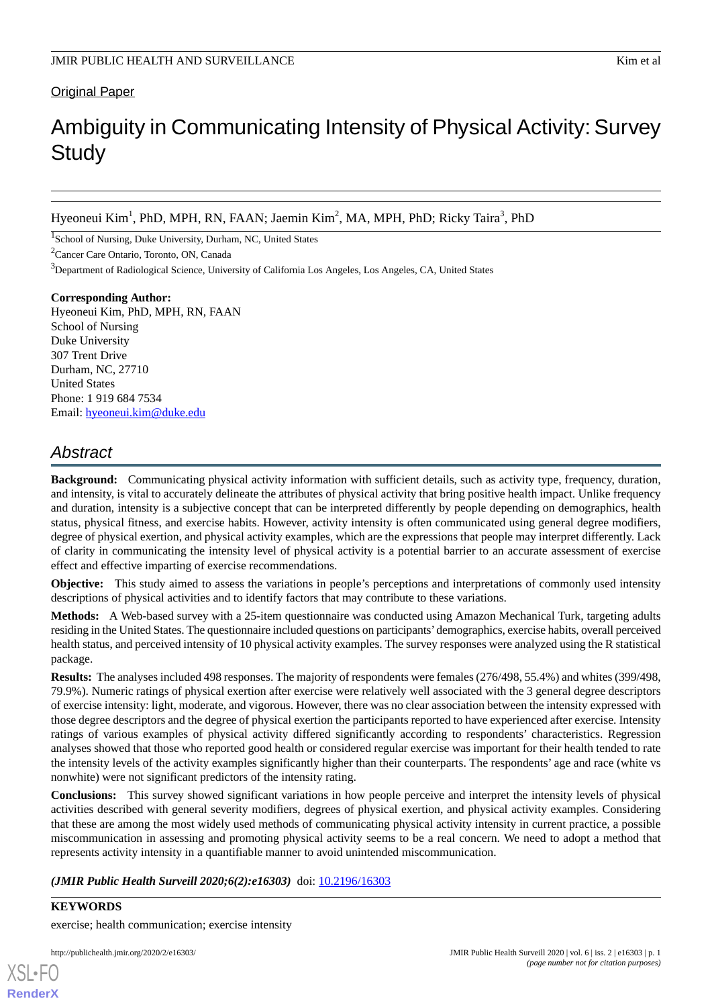#### **Original Paper**

# Ambiguity in Communicating Intensity of Physical Activity: Survey **Study**

Hyeoneui Kim<sup>1</sup>, PhD, MPH, RN, FAAN; Jaemin Kim<sup>2</sup>, MA, MPH, PhD; Ricky Taira<sup>3</sup>, PhD

<sup>1</sup>School of Nursing, Duke University, Durham, NC, United States

<sup>2</sup>Cancer Care Ontario, Toronto, ON, Canada

<sup>3</sup>Department of Radiological Science, University of California Los Angeles, Los Angeles, CA, United States

### **Corresponding Author:**

Hyeoneui Kim, PhD, MPH, RN, FAAN School of Nursing Duke University 307 Trent Drive Durham, NC, 27710 United States Phone: 1 919 684 7534 Email: [hyeoneui.kim@duke.edu](mailto:hyeoneui.kim@duke.edu)

# *Abstract*

**Background:** Communicating physical activity information with sufficient details, such as activity type, frequency, duration, and intensity, is vital to accurately delineate the attributes of physical activity that bring positive health impact. Unlike frequency and duration, intensity is a subjective concept that can be interpreted differently by people depending on demographics, health status, physical fitness, and exercise habits. However, activity intensity is often communicated using general degree modifiers, degree of physical exertion, and physical activity examples, which are the expressions that people may interpret differently. Lack of clarity in communicating the intensity level of physical activity is a potential barrier to an accurate assessment of exercise effect and effective imparting of exercise recommendations.

**Objective:** This study aimed to assess the variations in people's perceptions and interpretations of commonly used intensity descriptions of physical activities and to identify factors that may contribute to these variations.

**Methods:** A Web-based survey with a 25-item questionnaire was conducted using Amazon Mechanical Turk, targeting adults residing in the United States. The questionnaire included questions on participants'demographics, exercise habits, overall perceived health status, and perceived intensity of 10 physical activity examples. The survey responses were analyzed using the R statistical package.

**Results:** The analyses included 498 responses. The majority of respondents were females (276/498, 55.4%) and whites (399/498, 79.9%). Numeric ratings of physical exertion after exercise were relatively well associated with the 3 general degree descriptors of exercise intensity: light, moderate, and vigorous. However, there was no clear association between the intensity expressed with those degree descriptors and the degree of physical exertion the participants reported to have experienced after exercise. Intensity ratings of various examples of physical activity differed significantly according to respondents' characteristics. Regression analyses showed that those who reported good health or considered regular exercise was important for their health tended to rate the intensity levels of the activity examples significantly higher than their counterparts. The respondents' age and race (white vs nonwhite) were not significant predictors of the intensity rating.

**Conclusions:** This survey showed significant variations in how people perceive and interpret the intensity levels of physical activities described with general severity modifiers, degrees of physical exertion, and physical activity examples. Considering that these are among the most widely used methods of communicating physical activity intensity in current practice, a possible miscommunication in assessing and promoting physical activity seems to be a real concern. We need to adopt a method that represents activity intensity in a quantifiable manner to avoid unintended miscommunication.

*(JMIR Public Health Surveill 2020;6(2):e16303)* doi: [10.2196/16303](http://dx.doi.org/10.2196/16303)

**KEYWORDS** exercise; health communication; exercise intensity

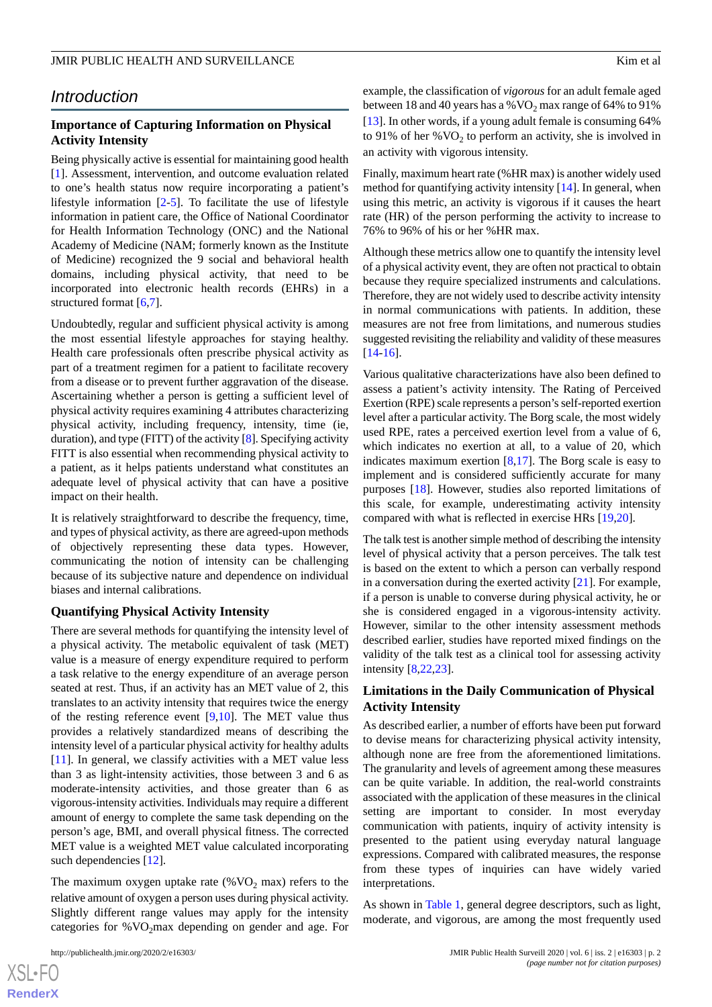### *Introduction*

#### **Importance of Capturing Information on Physical Activity Intensity**

Being physically active is essential for maintaining good health [[1\]](#page-9-0). Assessment, intervention, and outcome evaluation related to one's health status now require incorporating a patient's lifestyle information  $[2-5]$  $[2-5]$  $[2-5]$ . To facilitate the use of lifestyle information in patient care, the Office of National Coordinator for Health Information Technology (ONC) and the National Academy of Medicine (NAM; formerly known as the Institute of Medicine) recognized the 9 social and behavioral health domains, including physical activity, that need to be incorporated into electronic health records (EHRs) in a structured format [[6](#page-9-3),[7](#page-9-4)].

Undoubtedly, regular and sufficient physical activity is among the most essential lifestyle approaches for staying healthy. Health care professionals often prescribe physical activity as part of a treatment regimen for a patient to facilitate recovery from a disease or to prevent further aggravation of the disease. Ascertaining whether a person is getting a sufficient level of physical activity requires examining 4 attributes characterizing physical activity, including frequency, intensity, time (ie, duration), and type (FITT) of the activity [[8](#page-9-5)]. Specifying activity FITT is also essential when recommending physical activity to a patient, as it helps patients understand what constitutes an adequate level of physical activity that can have a positive impact on their health.

It is relatively straightforward to describe the frequency, time, and types of physical activity, as there are agreed-upon methods of objectively representing these data types. However, communicating the notion of intensity can be challenging because of its subjective nature and dependence on individual biases and internal calibrations.

#### **Quantifying Physical Activity Intensity**

There are several methods for quantifying the intensity level of a physical activity. The metabolic equivalent of task (MET) value is a measure of energy expenditure required to perform a task relative to the energy expenditure of an average person seated at rest. Thus, if an activity has an MET value of 2, this translates to an activity intensity that requires twice the energy of the resting reference event [\[9](#page-9-6),[10\]](#page-9-7). The MET value thus provides a relatively standardized means of describing the intensity level of a particular physical activity for healthy adults [[11\]](#page-9-8). In general, we classify activities with a MET value less than 3 as light-intensity activities, those between 3 and 6 as moderate-intensity activities, and those greater than 6 as vigorous-intensity activities. Individuals may require a different amount of energy to complete the same task depending on the person's age, BMI, and overall physical fitness. The corrected MET value is a weighted MET value calculated incorporating such dependencies [\[12](#page-9-9)].

The maximum oxygen uptake rate (% $VO<sub>2</sub>$  max) refers to the relative amount of oxygen a person uses during physical activity. Slightly different range values may apply for the intensity categories for  $%VO<sub>2</sub>max$  depending on gender and age. For

example, the classification of *vigorous* for an adult female aged between 18 and 40 years has a %  $VO<sub>2</sub>$  max range of 64% to 91% [[13\]](#page-9-10). In other words, if a young adult female is consuming 64% to 91% of her % $VO<sub>2</sub>$  to perform an activity, she is involved in an activity with vigorous intensity.

Finally, maximum heart rate (%HR max) is another widely used method for quantifying activity intensity [[14\]](#page-9-11). In general, when using this metric, an activity is vigorous if it causes the heart rate (HR) of the person performing the activity to increase to 76% to 96% of his or her %HR max.

Although these metrics allow one to quantify the intensity level of a physical activity event, they are often not practical to obtain because they require specialized instruments and calculations. Therefore, they are not widely used to describe activity intensity in normal communications with patients. In addition, these measures are not free from limitations, and numerous studies suggested revisiting the reliability and validity of these measures [[14](#page-9-11)[-16](#page-9-12)].

Various qualitative characterizations have also been defined to assess a patient's activity intensity. The Rating of Perceived Exertion (RPE) scale represents a person's self-reported exertion level after a particular activity. The Borg scale, the most widely used RPE, rates a perceived exertion level from a value of 6, which indicates no exertion at all, to a value of 20, which indicates maximum exertion  $[8,17]$  $[8,17]$  $[8,17]$ . The Borg scale is easy to implement and is considered sufficiently accurate for many purposes [\[18](#page-10-0)]. However, studies also reported limitations of this scale, for example, underestimating activity intensity compared with what is reflected in exercise HRs [\[19](#page-10-1),[20\]](#page-10-2).

The talk test is another simple method of describing the intensity level of physical activity that a person perceives. The talk test is based on the extent to which a person can verbally respond in a conversation during the exerted activity  $[21]$  $[21]$ . For example, if a person is unable to converse during physical activity, he or she is considered engaged in a vigorous-intensity activity. However, similar to the other intensity assessment methods described earlier, studies have reported mixed findings on the validity of the talk test as a clinical tool for assessing activity intensity [[8](#page-9-5)[,22](#page-10-4),[23\]](#page-10-5).

#### **Limitations in the Daily Communication of Physical Activity Intensity**

As described earlier, a number of efforts have been put forward to devise means for characterizing physical activity intensity, although none are free from the aforementioned limitations. The granularity and levels of agreement among these measures can be quite variable. In addition, the real-world constraints associated with the application of these measures in the clinical setting are important to consider. In most everyday communication with patients, inquiry of activity intensity is presented to the patient using everyday natural language expressions. Compared with calibrated measures, the response from these types of inquiries can have widely varied interpretations.

As shown in [Table 1](#page-2-0), general degree descriptors, such as light, moderate, and vigorous, are among the most frequently used

[XSL](http://www.w3.org/Style/XSL)•FO **[RenderX](http://www.renderx.com/)**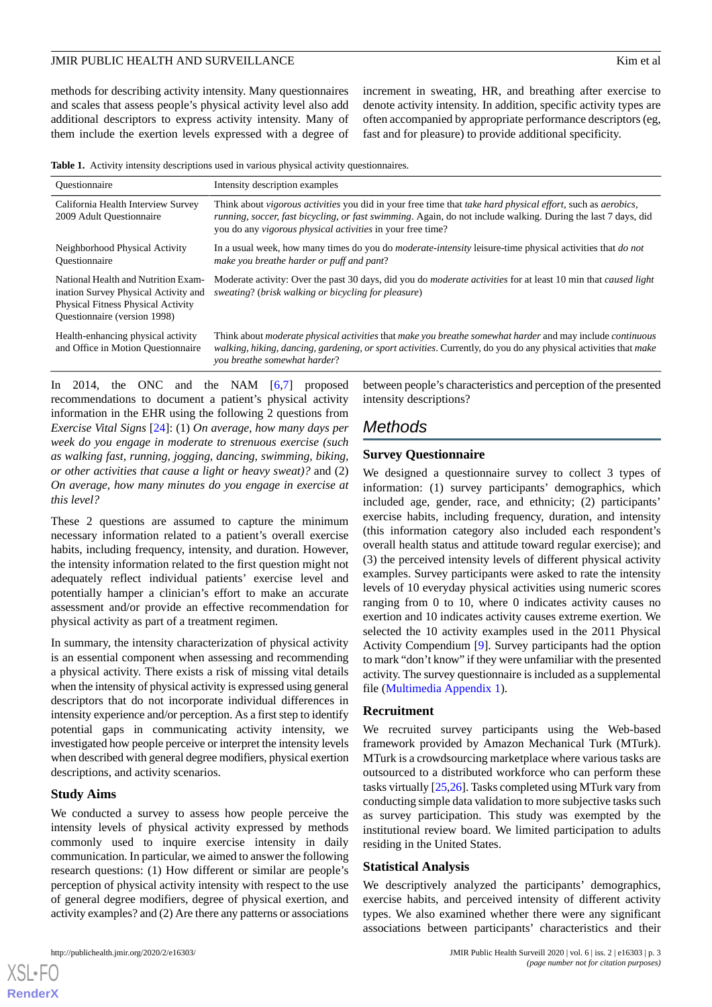methods for describing activity intensity. Many questionnaires and scales that assess people's physical activity level also add additional descriptors to express activity intensity. Many of them include the exertion levels expressed with a degree of increment in sweating, HR, and breathing after exercise to denote activity intensity. In addition, specific activity types are often accompanied by appropriate performance descriptors (eg, fast and for pleasure) to provide additional specificity.

<span id="page-2-0"></span>**Table 1.** Activity intensity descriptions used in various physical activity questionnaires.

| <b>Ouestionnaire</b>                                                                                                                                            | Intensity description examples                                                                                                                                                                                                                                                                    |
|-----------------------------------------------------------------------------------------------------------------------------------------------------------------|---------------------------------------------------------------------------------------------------------------------------------------------------------------------------------------------------------------------------------------------------------------------------------------------------|
| California Health Interview Survey<br>2009 Adult Ouestionnaire                                                                                                  | Think about vigorous activities you did in your free time that take hard physical effort, such as aerobics,<br>running, soccer, fast bicycling, or fast swimming. Again, do not include walking. During the last 7 days, did<br>you do any <i>vigorous physical activities</i> in your free time? |
| Neighborhood Physical Activity<br><b>Ouestionnaire</b>                                                                                                          | In a usual week, how many times do you do <i>moderate-intensity</i> leisure-time physical activities that <i>do not</i><br>make you breathe harder or puff and pant?                                                                                                                              |
| National Health and Nutrition Exam-<br>ination Survey Physical Activity and<br><b>Physical Fitness Physical Activity</b><br><b>Ouestionnaire</b> (version 1998) | Moderate activity: Over the past 30 days, did you do <i>moderate activities</i> for at least 10 min that <i>caused light</i><br>sweating? (brisk walking or bicycling for pleasure)                                                                                                               |
| Health-enhancing physical activity<br>and Office in Motion Questionnaire                                                                                        | Think about <i>moderate physical activities</i> that <i>make you breathe somewhat harder</i> and may include <i>continuous</i><br>walking, hiking, dancing, gardening, or sport activities. Currently, do you do any physical activities that make<br>you breathe somewhat harder?                |

In 2014, the ONC and the NAM [\[6](#page-9-3),[7\]](#page-9-4) proposed recommendations to document a patient's physical activity information in the EHR using the following 2 questions from *Exercise Vital Signs* [\[24](#page-10-6)]: (1) *On average, how many days per week do you engage in moderate to strenuous exercise (such as walking fast, running, jogging, dancing, swimming, biking, or other activities that cause a light or heavy sweat)?* and (2) *On average, how many minutes do you engage in exercise at this level?*

These 2 questions are assumed to capture the minimum necessary information related to a patient's overall exercise habits, including frequency, intensity, and duration. However, the intensity information related to the first question might not adequately reflect individual patients' exercise level and potentially hamper a clinician's effort to make an accurate assessment and/or provide an effective recommendation for physical activity as part of a treatment regimen.

In summary, the intensity characterization of physical activity is an essential component when assessing and recommending a physical activity. There exists a risk of missing vital details when the intensity of physical activity is expressed using general descriptors that do not incorporate individual differences in intensity experience and/or perception. As a first step to identify potential gaps in communicating activity intensity, we investigated how people perceive or interpret the intensity levels when described with general degree modifiers, physical exertion descriptions, and activity scenarios.

#### **Study Aims**

[XSL](http://www.w3.org/Style/XSL)•FO **[RenderX](http://www.renderx.com/)**

We conducted a survey to assess how people perceive the intensity levels of physical activity expressed by methods commonly used to inquire exercise intensity in daily communication. In particular, we aimed to answer the following research questions: (1) How different or similar are people's perception of physical activity intensity with respect to the use of general degree modifiers, degree of physical exertion, and activity examples? and (2) Are there any patterns or associations

between people's characteristics and perception of the presented intensity descriptions?

# *Methods*

#### **Survey Questionnaire**

We designed a questionnaire survey to collect 3 types of information: (1) survey participants' demographics, which included age, gender, race, and ethnicity; (2) participants' exercise habits, including frequency, duration, and intensity (this information category also included each respondent's overall health status and attitude toward regular exercise); and (3) the perceived intensity levels of different physical activity examples. Survey participants were asked to rate the intensity levels of 10 everyday physical activities using numeric scores ranging from 0 to 10, where 0 indicates activity causes no exertion and 10 indicates activity causes extreme exertion. We selected the 10 activity examples used in the 2011 Physical Activity Compendium [[9\]](#page-9-6). Survey participants had the option to mark "don't know" if they were unfamiliar with the presented activity. The survey questionnaire is included as a supplemental file ([Multimedia Appendix 1\)](#page-9-14).

#### **Recruitment**

We recruited survey participants using the Web-based framework provided by Amazon Mechanical Turk (MTurk). MTurk is a crowdsourcing marketplace where various tasks are outsourced to a distributed workforce who can perform these tasks virtually [\[25](#page-10-7)[,26](#page-10-8)]. Tasks completed using MTurk vary from conducting simple data validation to more subjective tasks such as survey participation. This study was exempted by the institutional review board. We limited participation to adults residing in the United States.

#### **Statistical Analysis**

We descriptively analyzed the participants' demographics, exercise habits, and perceived intensity of different activity types. We also examined whether there were any significant associations between participants' characteristics and their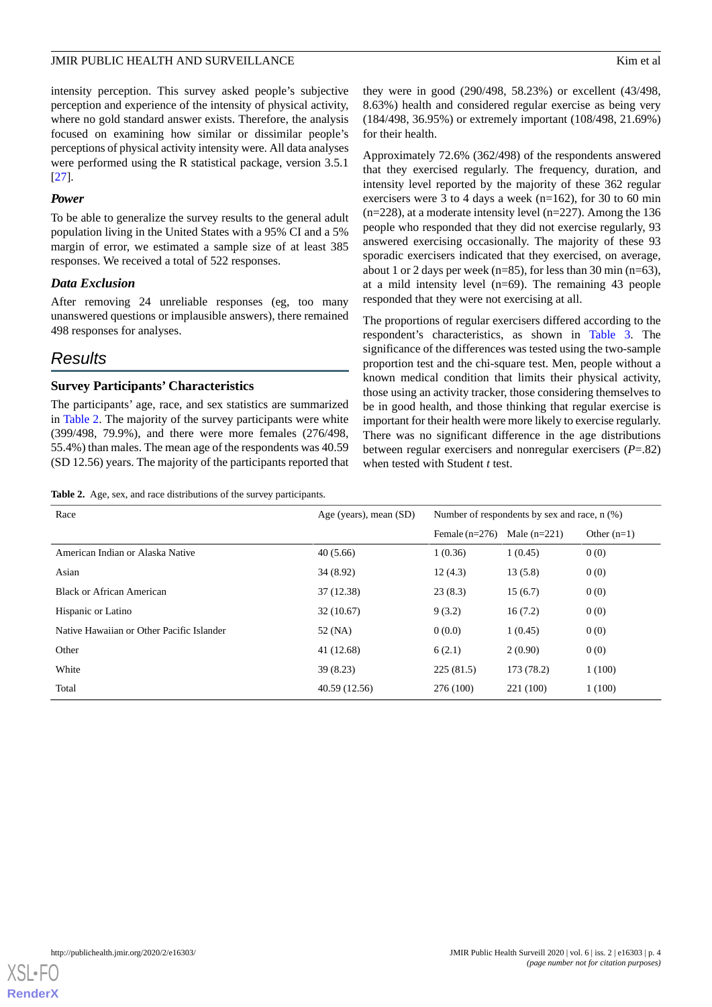intensity perception. This survey asked people's subjective perception and experience of the intensity of physical activity, where no gold standard answer exists. Therefore, the analysis focused on examining how similar or dissimilar people's perceptions of physical activity intensity were. All data analyses were performed using the R statistical package, version 3.5.1 [[27\]](#page-10-9).

#### *Power*

To be able to generalize the survey results to the general adult population living in the United States with a 95% CI and a 5% margin of error, we estimated a sample size of at least 385 responses. We received a total of 522 responses.

#### *Data Exclusion*

After removing 24 unreliable responses (eg, too many unanswered questions or implausible answers), there remained 498 responses for analyses.

# *Results*

#### **Survey Participants' Characteristics**

<span id="page-3-0"></span>The participants' age, race, and sex statistics are summarized in [Table 2.](#page-3-0) The majority of the survey participants were white (399/498, 79.9%), and there were more females (276/498, 55.4%) than males. The mean age of the respondents was 40.59 (SD 12.56) years. The majority of the participants reported that

|  |  | Table 2. Age, sex, and race distributions of the survey participants. |  |  |
|--|--|-----------------------------------------------------------------------|--|--|
|--|--|-----------------------------------------------------------------------|--|--|

they were in good (290/498, 58.23%) or excellent (43/498, 8.63%) health and considered regular exercise as being very (184/498, 36.95%) or extremely important (108/498, 21.69%) for their health.

Approximately 72.6% (362/498) of the respondents answered that they exercised regularly. The frequency, duration, and intensity level reported by the majority of these 362 regular exercisers were 3 to 4 days a week (n=162), for 30 to 60 min  $(n=228)$ , at a moderate intensity level  $(n=227)$ . Among the 136 people who responded that they did not exercise regularly, 93 answered exercising occasionally. The majority of these 93 sporadic exercisers indicated that they exercised, on average, about 1 or 2 days per week (n=85), for less than 30 min (n=63), at a mild intensity level (n=69). The remaining 43 people responded that they were not exercising at all.

The proportions of regular exercisers differed according to the respondent's characteristics, as shown in [Table 3](#page-4-0). The significance of the differences was tested using the two-sample proportion test and the chi-square test. Men, people without a known medical condition that limits their physical activity, those using an activity tracker, those considering themselves to be in good health, and those thinking that regular exercise is important for their health were more likely to exercise regularly. There was no significant difference in the age distributions between regular exercisers and nonregular exercisers (*P*=.82) when tested with Student *t* test.

| Race                                      | Age (years), mean (SD) | Number of respondents by sex and race, n (%) |                |               |
|-------------------------------------------|------------------------|----------------------------------------------|----------------|---------------|
|                                           |                        | Female $(n=276)$                             | Male $(n=221)$ | Other $(n=1)$ |
| American Indian or Alaska Native          | 40(5.66)               | 1(0.36)                                      | 1(0.45)        | 0(0)          |
| Asian                                     | 34 (8.92)              | 12(4.3)                                      | 13(5.8)        | 0(0)          |
| Black or African American                 | 37 (12.38)             | 23(8.3)                                      | 15(6.7)        | 0(0)          |
| Hispanic or Latino                        | 32(10.67)              | 9(3.2)                                       | 16(7.2)        | 0(0)          |
| Native Hawaiian or Other Pacific Islander | 52 (NA)                | 0(0.0)                                       | 1(0.45)        | 0(0)          |
| Other                                     | 41 (12.68)             | 6(2.1)                                       | 2(0.90)        | 0(0)          |
| White                                     | 39 (8.23)              | 225(81.5)                                    | 173 (78.2)     | 1(100)        |
| Total                                     | 40.59 (12.56)          | 276 (100)                                    | 221 (100)      | 1(100)        |

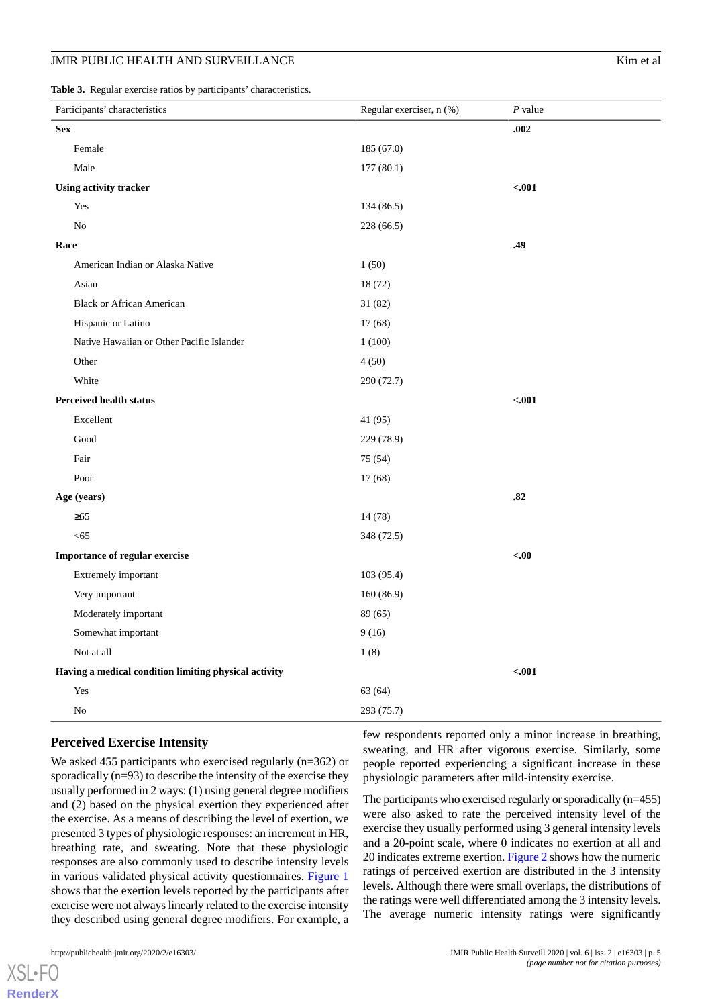<span id="page-4-0"></span>**Table 3.** Regular exercise ratios by participants' characteristics.

|                                                       | . .<br>Participants' characteristics      | Regular exerciser, n (%) | $P$ value |
|-------------------------------------------------------|-------------------------------------------|--------------------------|-----------|
| <b>Sex</b>                                            |                                           |                          | .002      |
|                                                       | Female                                    | 185 (67.0)               |           |
|                                                       | Male                                      | 177(80.1)                |           |
|                                                       | Using activity tracker                    |                          | $-.001$   |
|                                                       | Yes                                       | 134 (86.5)               |           |
|                                                       | $\rm No$                                  | 228 (66.5)               |           |
| Race                                                  |                                           |                          | .49       |
|                                                       | American Indian or Alaska Native          | 1(50)                    |           |
|                                                       | Asian                                     | 18 (72)                  |           |
|                                                       | <b>Black or African American</b>          | 31 (82)                  |           |
|                                                       | Hispanic or Latino                        | 17(68)                   |           |
|                                                       | Native Hawaiian or Other Pacific Islander | 1(100)                   |           |
|                                                       | Other                                     | 4(50)                    |           |
|                                                       | White                                     | 290 (72.7)               |           |
|                                                       | <b>Perceived health status</b>            |                          | $-.001$   |
|                                                       | Excellent                                 | 41 (95)                  |           |
|                                                       | $\operatorname{Good}$                     | 229 (78.9)               |           |
|                                                       | Fair                                      | 75 (54)                  |           |
|                                                       | Poor                                      | 17(68)                   |           |
| Age (years)                                           |                                           |                          | .82       |
|                                                       | $\geq 65$                                 | 14 (78)                  |           |
|                                                       | < 65                                      | 348 (72.5)               |           |
| Importance of regular exercise                        |                                           |                          | <00       |
|                                                       | Extremely important                       | 103(95.4)                |           |
|                                                       | Very important                            | 160(86.9)                |           |
|                                                       | Moderately important                      | 89 (65)                  |           |
|                                                       | Somewhat important                        | 9(16)                    |           |
|                                                       | Not at all                                | 1(8)                     |           |
| Having a medical condition limiting physical activity |                                           |                          | $-.001$   |
|                                                       | Yes                                       | 63 (64)                  |           |
|                                                       | $\rm No$                                  | 293 (75.7)               |           |

#### **Perceived Exercise Intensity**

We asked 455 participants who exercised regularly (n=362) or sporadically (n=93) to describe the intensity of the exercise they usually performed in 2 ways: (1) using general degree modifiers and (2) based on the physical exertion they experienced after the exercise. As a means of describing the level of exertion, we presented 3 types of physiologic responses: an increment in HR, breathing rate, and sweating. Note that these physiologic responses are also commonly used to describe intensity levels in various validated physical activity questionnaires. [Figure 1](#page-5-0) shows that the exertion levels reported by the participants after exercise were not always linearly related to the exercise intensity they described using general degree modifiers. For example, a

few respondents reported only a minor increase in breathing, sweating, and HR after vigorous exercise. Similarly, some people reported experiencing a significant increase in these physiologic parameters after mild-intensity exercise.

The participants who exercised regularly or sporadically (n=455) were also asked to rate the perceived intensity level of the exercise they usually performed using 3 general intensity levels and a 20-point scale, where 0 indicates no exertion at all and 20 indicates extreme exertion. [Figure 2](#page-5-1) shows how the numeric ratings of perceived exertion are distributed in the 3 intensity levels. Although there were small overlaps, the distributions of the ratings were well differentiated among the 3 intensity levels. The average numeric intensity ratings were significantly

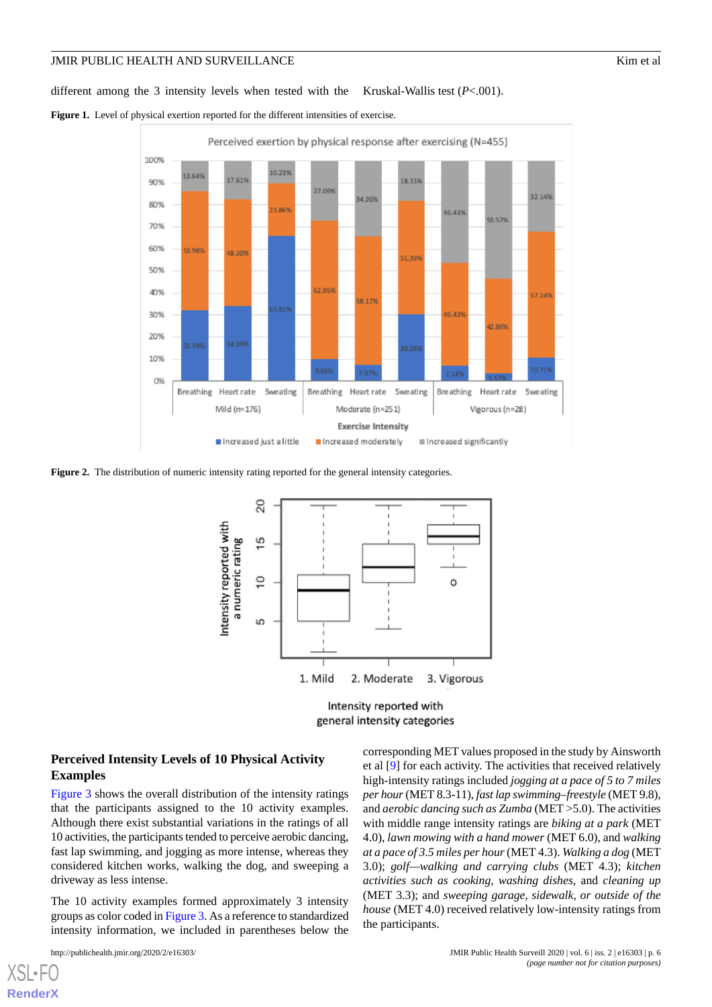different among the 3 intensity levels when tested with the Kruskal-Wallis test (*P*<.001).

<span id="page-5-0"></span>Figure 1. Level of physical exertion reported for the different intensities of exercise.



<span id="page-5-1"></span>**Figure 2.** The distribution of numeric intensity rating reported for the general intensity categories.



Intensity reported with general intensity categories

#### **Perceived Intensity Levels of 10 Physical Activity Examples**

[Figure 3](#page-6-0) shows the overall distribution of the intensity ratings that the participants assigned to the 10 activity examples. Although there exist substantial variations in the ratings of all 10 activities, the participants tended to perceive aerobic dancing, fast lap swimming, and jogging as more intense, whereas they considered kitchen works, walking the dog, and sweeping a driveway as less intense.

The 10 activity examples formed approximately 3 intensity groups as color coded in [Figure 3.](#page-6-0) As a reference to standardized intensity information, we included in parentheses below the

[XSL](http://www.w3.org/Style/XSL)•FO **[RenderX](http://www.renderx.com/)**

corresponding MET values proposed in the study by Ainsworth et al [\[9](#page-9-6)] for each activity. The activities that received relatively high-intensity ratings included *jogging at a pace of 5 to 7 miles per hour*(MET 8.3-11), *fast lap swimming–freestyle* (MET 9.8), and *aerobic dancing such as Zumba* (MET >5.0). The activities with middle range intensity ratings are *biking at a park* (MET 4.0), *lawn mowing with a hand mower* (MET 6.0), and *walking at a pace of 3.5 miles per hour*(MET 4.3). *Walking a dog* (MET 3.0); *golf—walking and carrying clubs* (MET 4.3); *kitchen activities such as cooking, washing dishes,* and *cleaning up* (MET 3.3); and *sweeping garage, sidewalk, or outside of the house* (MET 4.0) received relatively low-intensity ratings from the participants.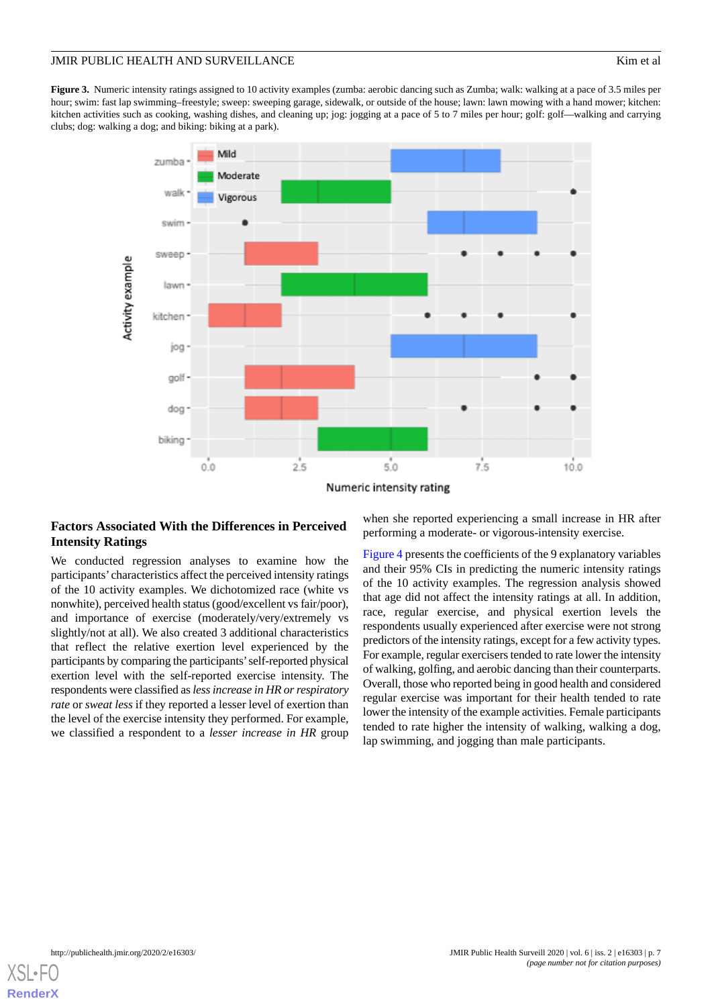<span id="page-6-0"></span>**Figure 3.** Numeric intensity ratings assigned to 10 activity examples (zumba: aerobic dancing such as Zumba; walk: walking at a pace of 3.5 miles per hour; swim: fast lap swimming–freestyle; sweep: sweeping garage, sidewalk, or outside of the house; lawn: lawn mowing with a hand mower; kitchen: kitchen activities such as cooking, washing dishes, and cleaning up; jog: jogging at a pace of 5 to 7 miles per hour; golf: golf—walking and carrying clubs; dog: walking a dog; and biking: biking at a park).



#### **Factors Associated With the Differences in Perceived Intensity Ratings**

We conducted regression analyses to examine how the participants' characteristics affect the perceived intensity ratings of the 10 activity examples. We dichotomized race (white vs nonwhite), perceived health status (good/excellent vs fair/poor), and importance of exercise (moderately/very/extremely vs slightly/not at all). We also created 3 additional characteristics that reflect the relative exertion level experienced by the participants by comparing the participants'self-reported physical exertion level with the self-reported exercise intensity. The respondents were classified as *less increase in HR or respiratory rate* or *sweat less* if they reported a lesser level of exertion than the level of the exercise intensity they performed. For example, we classified a respondent to a *lesser increase in HR* group

when she reported experiencing a small increase in HR after performing a moderate- or vigorous-intensity exercise.

[Figure 4](#page-7-0) presents the coefficients of the 9 explanatory variables and their 95% CIs in predicting the numeric intensity ratings of the 10 activity examples. The regression analysis showed that age did not affect the intensity ratings at all. In addition, race, regular exercise, and physical exertion levels the respondents usually experienced after exercise were not strong predictors of the intensity ratings, except for a few activity types. For example, regular exercisers tended to rate lower the intensity of walking, golfing, and aerobic dancing than their counterparts. Overall, those who reported being in good health and considered regular exercise was important for their health tended to rate lower the intensity of the example activities. Female participants tended to rate higher the intensity of walking, walking a dog, lap swimming, and jogging than male participants.

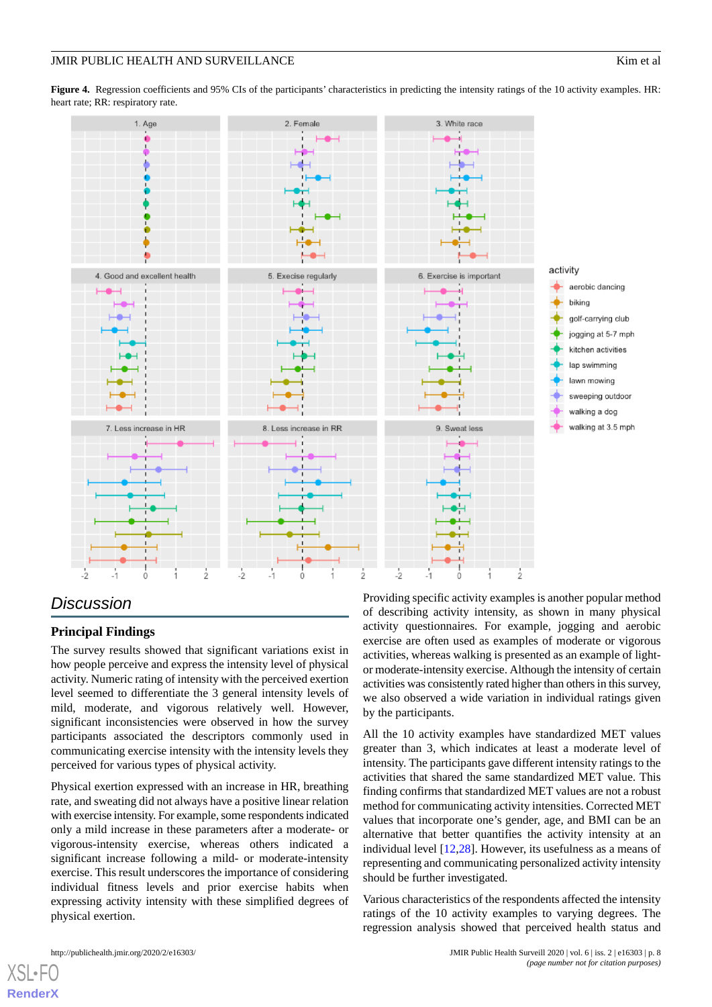<span id="page-7-0"></span>**Figure 4.** Regression coefficients and 95% CIs of the participants' characteristics in predicting the intensity ratings of the 10 activity examples. HR: heart rate; RR: respiratory rate.



# *Discussion*

# **Principal Findings**

The survey results showed that significant variations exist in how people perceive and express the intensity level of physical activity. Numeric rating of intensity with the perceived exertion level seemed to differentiate the 3 general intensity levels of mild, moderate, and vigorous relatively well. However, significant inconsistencies were observed in how the survey participants associated the descriptors commonly used in communicating exercise intensity with the intensity levels they perceived for various types of physical activity.

Physical exertion expressed with an increase in HR, breathing rate, and sweating did not always have a positive linear relation with exercise intensity. For example, some respondents indicated only a mild increase in these parameters after a moderate- or vigorous-intensity exercise, whereas others indicated a significant increase following a mild- or moderate-intensity exercise. This result underscores the importance of considering individual fitness levels and prior exercise habits when expressing activity intensity with these simplified degrees of physical exertion.

Providing specific activity examples is another popular method of describing activity intensity, as shown in many physical activity questionnaires. For example, jogging and aerobic exercise are often used as examples of moderate or vigorous activities, whereas walking is presented as an example of lightor moderate-intensity exercise. Although the intensity of certain activities was consistently rated higher than others in this survey, we also observed a wide variation in individual ratings given by the participants.

All the 10 activity examples have standardized MET values greater than 3, which indicates at least a moderate level of intensity. The participants gave different intensity ratings to the activities that shared the same standardized MET value. This finding confirms that standardized MET values are not a robust method for communicating activity intensities. Corrected MET values that incorporate one's gender, age, and BMI can be an alternative that better quantifies the activity intensity at an individual level [\[12](#page-9-9),[28\]](#page-10-10). However, its usefulness as a means of representing and communicating personalized activity intensity should be further investigated.

Various characteristics of the respondents affected the intensity ratings of the 10 activity examples to varying degrees. The regression analysis showed that perceived health status and

 $XS$  • FC **[RenderX](http://www.renderx.com/)**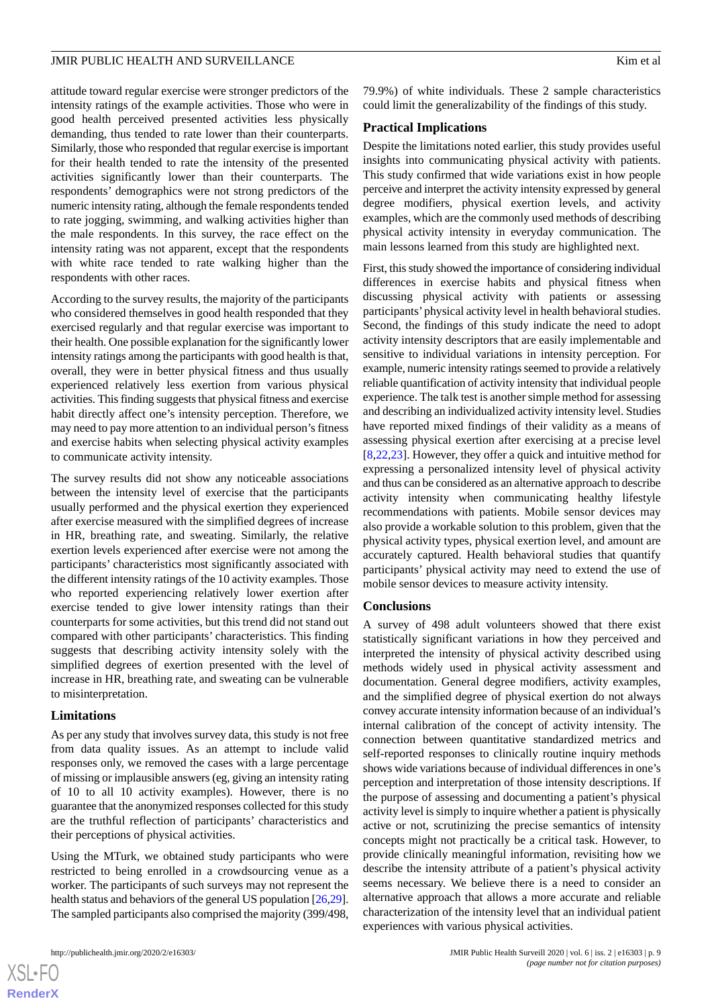attitude toward regular exercise were stronger predictors of the intensity ratings of the example activities. Those who were in good health perceived presented activities less physically demanding, thus tended to rate lower than their counterparts. Similarly, those who responded that regular exercise is important for their health tended to rate the intensity of the presented activities significantly lower than their counterparts. The respondents' demographics were not strong predictors of the numeric intensity rating, although the female respondents tended to rate jogging, swimming, and walking activities higher than the male respondents. In this survey, the race effect on the intensity rating was not apparent, except that the respondents with white race tended to rate walking higher than the respondents with other races.

According to the survey results, the majority of the participants who considered themselves in good health responded that they exercised regularly and that regular exercise was important to their health. One possible explanation for the significantly lower intensity ratings among the participants with good health is that, overall, they were in better physical fitness and thus usually experienced relatively less exertion from various physical activities. This finding suggests that physical fitness and exercise habit directly affect one's intensity perception. Therefore, we may need to pay more attention to an individual person's fitness and exercise habits when selecting physical activity examples to communicate activity intensity.

The survey results did not show any noticeable associations between the intensity level of exercise that the participants usually performed and the physical exertion they experienced after exercise measured with the simplified degrees of increase in HR, breathing rate, and sweating. Similarly, the relative exertion levels experienced after exercise were not among the participants' characteristics most significantly associated with the different intensity ratings of the 10 activity examples. Those who reported experiencing relatively lower exertion after exercise tended to give lower intensity ratings than their counterparts for some activities, but this trend did not stand out compared with other participants' characteristics. This finding suggests that describing activity intensity solely with the simplified degrees of exertion presented with the level of increase in HR, breathing rate, and sweating can be vulnerable to misinterpretation.

#### **Limitations**

As per any study that involves survey data, this study is not free from data quality issues. As an attempt to include valid responses only, we removed the cases with a large percentage of missing or implausible answers (eg, giving an intensity rating of 10 to all 10 activity examples). However, there is no guarantee that the anonymized responses collected for this study are the truthful reflection of participants' characteristics and their perceptions of physical activities.

Using the MTurk, we obtained study participants who were restricted to being enrolled in a crowdsourcing venue as a worker. The participants of such surveys may not represent the health status and behaviors of the general US population [\[26,](#page-10-8)[29\]](#page-10-11). The sampled participants also comprised the majority (399/498, 79.9%) of white individuals. These 2 sample characteristics could limit the generalizability of the findings of this study.

#### **Practical Implications**

Despite the limitations noted earlier, this study provides useful insights into communicating physical activity with patients. This study confirmed that wide variations exist in how people perceive and interpret the activity intensity expressed by general degree modifiers, physical exertion levels, and activity examples, which are the commonly used methods of describing physical activity intensity in everyday communication. The main lessons learned from this study are highlighted next.

First, this study showed the importance of considering individual differences in exercise habits and physical fitness when discussing physical activity with patients or assessing participants'physical activity level in health behavioral studies. Second, the findings of this study indicate the need to adopt activity intensity descriptors that are easily implementable and sensitive to individual variations in intensity perception. For example, numeric intensity ratings seemed to provide a relatively reliable quantification of activity intensity that individual people experience. The talk test is another simple method for assessing and describing an individualized activity intensity level. Studies have reported mixed findings of their validity as a means of assessing physical exertion after exercising at a precise level [[8](#page-9-5)[,22](#page-10-4),[23\]](#page-10-5). However, they offer a quick and intuitive method for expressing a personalized intensity level of physical activity and thus can be considered as an alternative approach to describe activity intensity when communicating healthy lifestyle recommendations with patients. Mobile sensor devices may also provide a workable solution to this problem, given that the physical activity types, physical exertion level, and amount are accurately captured. Health behavioral studies that quantify participants' physical activity may need to extend the use of mobile sensor devices to measure activity intensity.

#### **Conclusions**

A survey of 498 adult volunteers showed that there exist statistically significant variations in how they perceived and interpreted the intensity of physical activity described using methods widely used in physical activity assessment and documentation. General degree modifiers, activity examples, and the simplified degree of physical exertion do not always convey accurate intensity information because of an individual's internal calibration of the concept of activity intensity. The connection between quantitative standardized metrics and self-reported responses to clinically routine inquiry methods shows wide variations because of individual differences in one's perception and interpretation of those intensity descriptions. If the purpose of assessing and documenting a patient's physical activity level is simply to inquire whether a patient is physically active or not, scrutinizing the precise semantics of intensity concepts might not practically be a critical task. However, to provide clinically meaningful information, revisiting how we describe the intensity attribute of a patient's physical activity seems necessary. We believe there is a need to consider an alternative approach that allows a more accurate and reliable characterization of the intensity level that an individual patient experiences with various physical activities.

```
XS\cdotFC
RenderX
```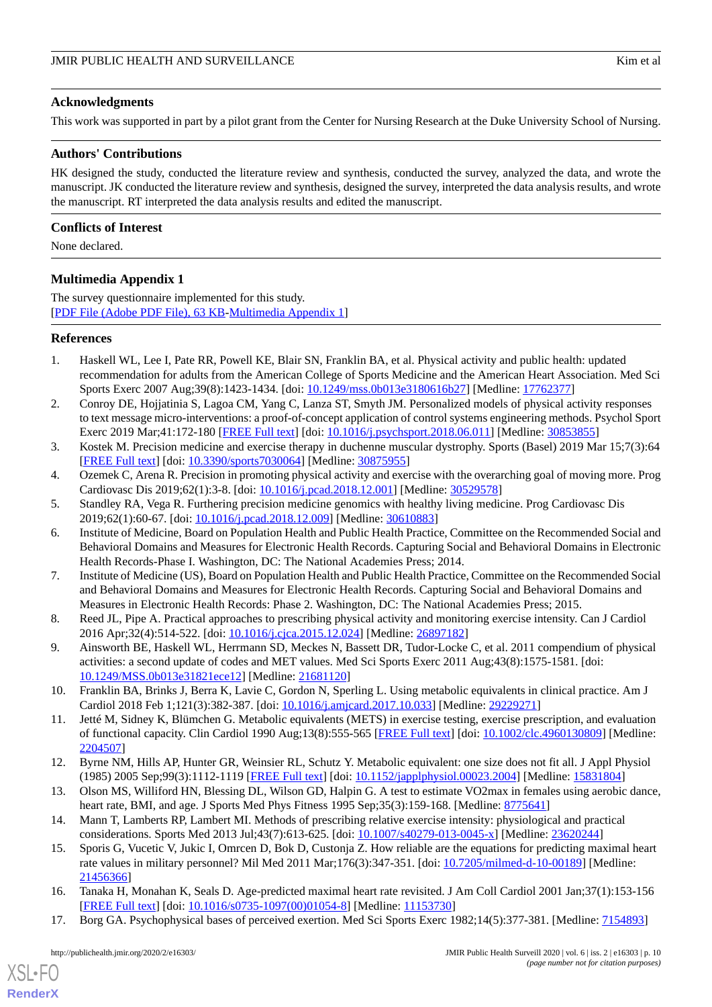#### **Acknowledgments**

This work was supported in part by a pilot grant from the Center for Nursing Research at the Duke University School of Nursing.

#### **Authors' Contributions**

HK designed the study, conducted the literature review and synthesis, conducted the survey, analyzed the data, and wrote the manuscript. JK conducted the literature review and synthesis, designed the survey, interpreted the data analysis results, and wrote the manuscript. RT interpreted the data analysis results and edited the manuscript.

#### **Conflicts of Interest**

<span id="page-9-14"></span>None declared.

### **Multimedia Appendix 1**

The survey questionnaire implemented for this study. [[PDF File \(Adobe PDF File\), 63 KB](https://jmir.org/api/download?alt_name=publichealth_v6i2e16303_app1.pdf&filename=353a6681c25297d18c751330a49984d8.pdf)-[Multimedia Appendix 1\]](https://jmir.org/api/download?alt_name=publichealth_v6i2e16303_app1.pdf&filename=353a6681c25297d18c751330a49984d8.pdf)

#### <span id="page-9-0"></span>**References**

- <span id="page-9-1"></span>1. Haskell WL, Lee I, Pate RR, Powell KE, Blair SN, Franklin BA, et al. Physical activity and public health: updated recommendation for adults from the American College of Sports Medicine and the American Heart Association. Med Sci Sports Exerc 2007 Aug;39(8):1423-1434. [doi: [10.1249/mss.0b013e3180616b27\]](http://dx.doi.org/10.1249/mss.0b013e3180616b27) [Medline: [17762377\]](http://www.ncbi.nlm.nih.gov/entrez/query.fcgi?cmd=Retrieve&db=PubMed&list_uids=17762377&dopt=Abstract)
- 2. Conroy DE, Hojjatinia S, Lagoa CM, Yang C, Lanza ST, Smyth JM. Personalized models of physical activity responses to text message micro-interventions: a proof-of-concept application of control systems engineering methods. Psychol Sport Exerc 2019 Mar;41:172-180 [\[FREE Full text](http://europepmc.org/abstract/MED/30853855)] [doi: [10.1016/j.psychsport.2018.06.011](http://dx.doi.org/10.1016/j.psychsport.2018.06.011)] [Medline: [30853855\]](http://www.ncbi.nlm.nih.gov/entrez/query.fcgi?cmd=Retrieve&db=PubMed&list_uids=30853855&dopt=Abstract)
- <span id="page-9-2"></span>3. Kostek M. Precision medicine and exercise therapy in duchenne muscular dystrophy. Sports (Basel) 2019 Mar 15;7(3):64 [[FREE Full text](http://www.mdpi.com/resolver?pii=sports7030064)] [doi: [10.3390/sports7030064\]](http://dx.doi.org/10.3390/sports7030064) [Medline: [30875955](http://www.ncbi.nlm.nih.gov/entrez/query.fcgi?cmd=Retrieve&db=PubMed&list_uids=30875955&dopt=Abstract)]
- <span id="page-9-3"></span>4. Ozemek C, Arena R. Precision in promoting physical activity and exercise with the overarching goal of moving more. Prog Cardiovasc Dis 2019;62(1):3-8. [doi: [10.1016/j.pcad.2018.12.001\]](http://dx.doi.org/10.1016/j.pcad.2018.12.001) [Medline: [30529578\]](http://www.ncbi.nlm.nih.gov/entrez/query.fcgi?cmd=Retrieve&db=PubMed&list_uids=30529578&dopt=Abstract)
- 5. Standley RA, Vega R. Furthering precision medicine genomics with healthy living medicine. Prog Cardiovasc Dis 2019;62(1):60-67. [doi: [10.1016/j.pcad.2018.12.009](http://dx.doi.org/10.1016/j.pcad.2018.12.009)] [Medline: [30610883](http://www.ncbi.nlm.nih.gov/entrez/query.fcgi?cmd=Retrieve&db=PubMed&list_uids=30610883&dopt=Abstract)]
- <span id="page-9-4"></span>6. Institute of Medicine, Board on Population Health and Public Health Practice, Committee on the Recommended Social and Behavioral Domains and Measures for Electronic Health Records. Capturing Social and Behavioral Domains in Electronic Health Records-Phase I. Washington, DC: The National Academies Press; 2014.
- <span id="page-9-6"></span><span id="page-9-5"></span>7. Institute of Medicine (US), Board on Population Health and Public Health Practice, Committee on the Recommended Social and Behavioral Domains and Measures for Electronic Health Records. Capturing Social and Behavioral Domains and Measures in Electronic Health Records: Phase 2. Washington, DC: The National Academies Press; 2015.
- <span id="page-9-7"></span>8. Reed JL, Pipe A. Practical approaches to prescribing physical activity and monitoring exercise intensity. Can J Cardiol 2016 Apr;32(4):514-522. [doi: [10.1016/j.cjca.2015.12.024\]](http://dx.doi.org/10.1016/j.cjca.2015.12.024) [Medline: [26897182](http://www.ncbi.nlm.nih.gov/entrez/query.fcgi?cmd=Retrieve&db=PubMed&list_uids=26897182&dopt=Abstract)]
- <span id="page-9-8"></span>9. Ainsworth BE, Haskell WL, Herrmann SD, Meckes N, Bassett DR, Tudor-Locke C, et al. 2011 compendium of physical activities: a second update of codes and MET values. Med Sci Sports Exerc 2011 Aug;43(8):1575-1581. [doi: [10.1249/MSS.0b013e31821ece12](http://dx.doi.org/10.1249/MSS.0b013e31821ece12)] [Medline: [21681120\]](http://www.ncbi.nlm.nih.gov/entrez/query.fcgi?cmd=Retrieve&db=PubMed&list_uids=21681120&dopt=Abstract)
- <span id="page-9-9"></span>10. Franklin BA, Brinks J, Berra K, Lavie C, Gordon N, Sperling L. Using metabolic equivalents in clinical practice. Am J Cardiol 2018 Feb 1;121(3):382-387. [doi: [10.1016/j.amjcard.2017.10.033](http://dx.doi.org/10.1016/j.amjcard.2017.10.033)] [Medline: [29229271](http://www.ncbi.nlm.nih.gov/entrez/query.fcgi?cmd=Retrieve&db=PubMed&list_uids=29229271&dopt=Abstract)]
- <span id="page-9-11"></span><span id="page-9-10"></span>11. Jetté M, Sidney K, Blümchen G. Metabolic equivalents (METS) in exercise testing, exercise prescription, and evaluation of functional capacity. Clin Cardiol 1990 Aug;13(8):555-565 [\[FREE Full text\]](https://onlinelibrary.wiley.com/resolve/openurl?genre=article&sid=nlm:pubmed&issn=0160-9289&date=1990&volume=13&issue=8&spage=555) [doi: [10.1002/clc.4960130809\]](http://dx.doi.org/10.1002/clc.4960130809) [Medline: [2204507\]](http://www.ncbi.nlm.nih.gov/entrez/query.fcgi?cmd=Retrieve&db=PubMed&list_uids=2204507&dopt=Abstract)
- 12. Byrne NM, Hills AP, Hunter GR, Weinsier RL, Schutz Y. Metabolic equivalent: one size does not fit all. J Appl Physiol (1985) 2005 Sep;99(3):1112-1119 [[FREE Full text\]](http://journals.physiology.org/doi/full/10.1152/japplphysiol.00023.2004?url_ver=Z39.88-2003&rfr_id=ori:rid:crossref.org&rfr_dat=cr_pub%3dpubmed) [doi: [10.1152/japplphysiol.00023.2004\]](http://dx.doi.org/10.1152/japplphysiol.00023.2004) [Medline: [15831804\]](http://www.ncbi.nlm.nih.gov/entrez/query.fcgi?cmd=Retrieve&db=PubMed&list_uids=15831804&dopt=Abstract)
- <span id="page-9-12"></span>13. Olson MS, Williford HN, Blessing DL, Wilson GD, Halpin G. A test to estimate VO2max in females using aerobic dance, heart rate, BMI, and age. J Sports Med Phys Fitness 1995 Sep;35(3):159-168. [Medline: [8775641\]](http://www.ncbi.nlm.nih.gov/entrez/query.fcgi?cmd=Retrieve&db=PubMed&list_uids=8775641&dopt=Abstract)
- <span id="page-9-13"></span>14. Mann T, Lamberts RP, Lambert MI. Methods of prescribing relative exercise intensity: physiological and practical considerations. Sports Med 2013 Jul;43(7):613-625. [doi: [10.1007/s40279-013-0045-x\]](http://dx.doi.org/10.1007/s40279-013-0045-x) [Medline: [23620244](http://www.ncbi.nlm.nih.gov/entrez/query.fcgi?cmd=Retrieve&db=PubMed&list_uids=23620244&dopt=Abstract)]
- 15. Sporis G, Vucetic V, Jukic I, Omrcen D, Bok D, Custonja Z. How reliable are the equations for predicting maximal heart rate values in military personnel? Mil Med 2011 Mar;176(3):347-351. [doi: [10.7205/milmed-d-10-00189\]](http://dx.doi.org/10.7205/milmed-d-10-00189) [Medline: [21456366](http://www.ncbi.nlm.nih.gov/entrez/query.fcgi?cmd=Retrieve&db=PubMed&list_uids=21456366&dopt=Abstract)]
- 16. Tanaka H, Monahan K, Seals D. Age-predicted maximal heart rate revisited. J Am Coll Cardiol 2001 Jan;37(1):153-156 [[FREE Full text](https://linkinghub.elsevier.com/retrieve/pii/S0735-1097(00)01054-8)] [doi: [10.1016/s0735-1097\(00\)01054-8\]](http://dx.doi.org/10.1016/s0735-1097(00)01054-8) [Medline: [11153730\]](http://www.ncbi.nlm.nih.gov/entrez/query.fcgi?cmd=Retrieve&db=PubMed&list_uids=11153730&dopt=Abstract)
- 17. Borg GA. Psychophysical bases of perceived exertion. Med Sci Sports Exerc 1982;14(5):377-381. [Medline: [7154893\]](http://www.ncbi.nlm.nih.gov/entrez/query.fcgi?cmd=Retrieve&db=PubMed&list_uids=7154893&dopt=Abstract)

[XSL](http://www.w3.org/Style/XSL)•FO **[RenderX](http://www.renderx.com/)**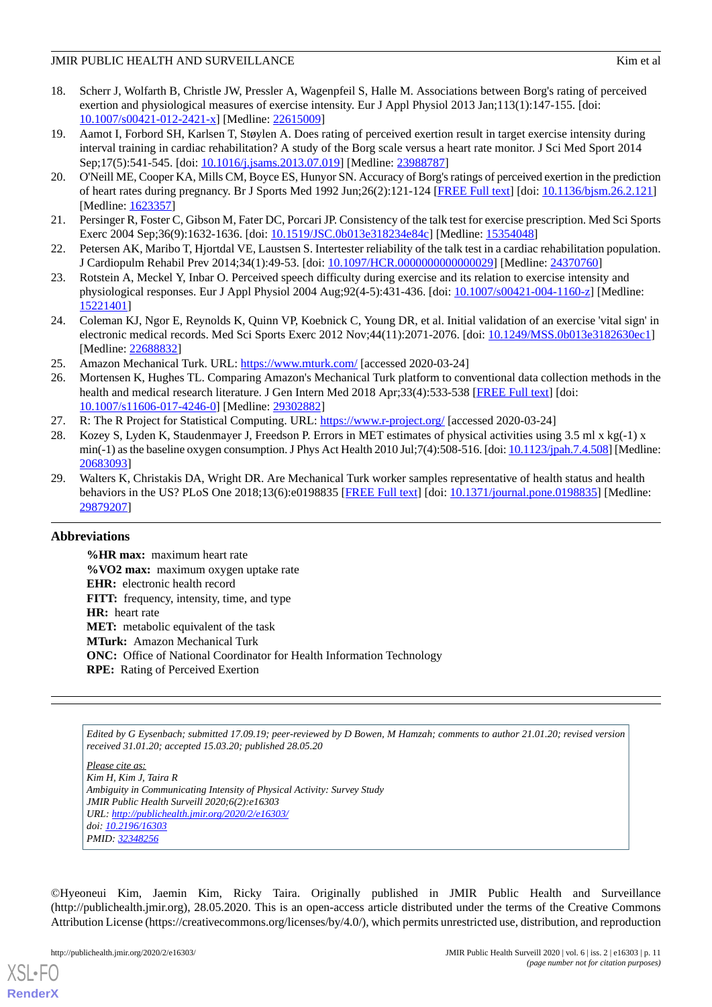- <span id="page-10-0"></span>18. Scherr J, Wolfarth B, Christle JW, Pressler A, Wagenpfeil S, Halle M. Associations between Borg's rating of perceived exertion and physiological measures of exercise intensity. Eur J Appl Physiol 2013 Jan;113(1):147-155. [doi: [10.1007/s00421-012-2421-x\]](http://dx.doi.org/10.1007/s00421-012-2421-x) [Medline: [22615009](http://www.ncbi.nlm.nih.gov/entrez/query.fcgi?cmd=Retrieve&db=PubMed&list_uids=22615009&dopt=Abstract)]
- <span id="page-10-1"></span>19. Aamot I, Forbord SH, Karlsen T, Støylen A. Does rating of perceived exertion result in target exercise intensity during interval training in cardiac rehabilitation? A study of the Borg scale versus a heart rate monitor. J Sci Med Sport 2014 Sep;17(5):541-545. [doi: [10.1016/j.jsams.2013.07.019](http://dx.doi.org/10.1016/j.jsams.2013.07.019)] [Medline: [23988787](http://www.ncbi.nlm.nih.gov/entrez/query.fcgi?cmd=Retrieve&db=PubMed&list_uids=23988787&dopt=Abstract)]
- <span id="page-10-2"></span>20. O'Neill ME, Cooper KA, Mills CM, Boyce ES, Hunyor SN. Accuracy of Borg's ratings of perceived exertion in the prediction of heart rates during pregnancy. Br J Sports Med 1992 Jun;26(2):121-124 [\[FREE Full text](http://bjsm.bmj.com/cgi/pmidlookup?view=long&pmid=1623357)] [doi: [10.1136/bjsm.26.2.121\]](http://dx.doi.org/10.1136/bjsm.26.2.121) [Medline: [1623357\]](http://www.ncbi.nlm.nih.gov/entrez/query.fcgi?cmd=Retrieve&db=PubMed&list_uids=1623357&dopt=Abstract)
- <span id="page-10-4"></span><span id="page-10-3"></span>21. Persinger R, Foster C, Gibson M, Fater DC, Porcari JP. Consistency of the talk test for exercise prescription. Med Sci Sports Exerc 2004 Sep;36(9):1632-1636. [doi: [10.1519/JSC.0b013e318234e84c\]](http://dx.doi.org/10.1519/JSC.0b013e318234e84c) [Medline: [15354048\]](http://www.ncbi.nlm.nih.gov/entrez/query.fcgi?cmd=Retrieve&db=PubMed&list_uids=15354048&dopt=Abstract)
- <span id="page-10-5"></span>22. Petersen AK, Maribo T, Hjortdal VE, Laustsen S. Intertester reliability of the talk test in a cardiac rehabilitation population. J Cardiopulm Rehabil Prev 2014;34(1):49-53. [doi: [10.1097/HCR.0000000000000029\]](http://dx.doi.org/10.1097/HCR.0000000000000029) [Medline: [24370760](http://www.ncbi.nlm.nih.gov/entrez/query.fcgi?cmd=Retrieve&db=PubMed&list_uids=24370760&dopt=Abstract)]
- <span id="page-10-6"></span>23. Rotstein A, Meckel Y, Inbar O. Perceived speech difficulty during exercise and its relation to exercise intensity and physiological responses. Eur J Appl Physiol 2004 Aug;92(4-5):431-436. [doi: [10.1007/s00421-004-1160-z\]](http://dx.doi.org/10.1007/s00421-004-1160-z) [Medline: [15221401](http://www.ncbi.nlm.nih.gov/entrez/query.fcgi?cmd=Retrieve&db=PubMed&list_uids=15221401&dopt=Abstract)]
- <span id="page-10-8"></span><span id="page-10-7"></span>24. Coleman KJ, Ngor E, Reynolds K, Quinn VP, Koebnick C, Young DR, et al. Initial validation of an exercise 'vital sign' in electronic medical records. Med Sci Sports Exerc 2012 Nov;44(11):2071-2076. [doi: [10.1249/MSS.0b013e3182630ec1](http://dx.doi.org/10.1249/MSS.0b013e3182630ec1)] [Medline: [22688832](http://www.ncbi.nlm.nih.gov/entrez/query.fcgi?cmd=Retrieve&db=PubMed&list_uids=22688832&dopt=Abstract)]
- 25. Amazon Mechanical Turk. URL:<https://www.mturk.com/> [accessed 2020-03-24]
- <span id="page-10-10"></span><span id="page-10-9"></span>26. Mortensen K, Hughes TL. Comparing Amazon's Mechanical Turk platform to conventional data collection methods in the health and medical research literature. J Gen Intern Med 2018 Apr;33(4):533-538 [[FREE Full text](http://europepmc.org/abstract/MED/29302882)] [doi: [10.1007/s11606-017-4246-0\]](http://dx.doi.org/10.1007/s11606-017-4246-0) [Medline: [29302882](http://www.ncbi.nlm.nih.gov/entrez/query.fcgi?cmd=Retrieve&db=PubMed&list_uids=29302882&dopt=Abstract)]
- 27. R: The R Project for Statistical Computing. URL: <https://www.r-project.org/> [accessed 2020-03-24]
- <span id="page-10-11"></span>28. Kozey S, Lyden K, Staudenmayer J, Freedson P. Errors in MET estimates of physical activities using 3.5 ml x kg(-1) x min(-1) as the baseline oxygen consumption. J Phys Act Health 2010 Jul;7(4):508-516. [doi: [10.1123/jpah.7.4.508\]](http://dx.doi.org/10.1123/jpah.7.4.508) [Medline: [20683093](http://www.ncbi.nlm.nih.gov/entrez/query.fcgi?cmd=Retrieve&db=PubMed&list_uids=20683093&dopt=Abstract)]
- 29. Walters K, Christakis DA, Wright DR. Are Mechanical Turk worker samples representative of health status and health behaviors in the US? PLoS One 2018;13(6):e0198835 [[FREE Full text](http://dx.plos.org/10.1371/journal.pone.0198835)] [doi: [10.1371/journal.pone.0198835\]](http://dx.doi.org/10.1371/journal.pone.0198835) [Medline: [29879207](http://www.ncbi.nlm.nih.gov/entrez/query.fcgi?cmd=Retrieve&db=PubMed&list_uids=29879207&dopt=Abstract)]

# **Abbreviations**

**%HR max:** maximum heart rate **%VO2 max:** maximum oxygen uptake rate **EHR:** electronic health record **FITT:** frequency, intensity, time, and type **HR:** heart rate **MET:** metabolic equivalent of the task **MTurk:** Amazon Mechanical Turk **ONC:** Office of National Coordinator for Health Information Technology **RPE:** Rating of Perceived Exertion

*Edited by G Eysenbach; submitted 17.09.19; peer-reviewed by D Bowen, M Hamzah; comments to author 21.01.20; revised version received 31.01.20; accepted 15.03.20; published 28.05.20*

*Please cite as: Kim H, Kim J, Taira R Ambiguity in Communicating Intensity of Physical Activity: Survey Study JMIR Public Health Surveill 2020;6(2):e16303 URL: <http://publichealth.jmir.org/2020/2/e16303/> doi: [10.2196/16303](http://dx.doi.org/10.2196/16303) PMID: [32348256](http://www.ncbi.nlm.nih.gov/entrez/query.fcgi?cmd=Retrieve&db=PubMed&list_uids=32348256&dopt=Abstract)*

©Hyeoneui Kim, Jaemin Kim, Ricky Taira. Originally published in JMIR Public Health and Surveillance (http://publichealth.jmir.org), 28.05.2020. This is an open-access article distributed under the terms of the Creative Commons Attribution License (https://creativecommons.org/licenses/by/4.0/), which permits unrestricted use, distribution, and reproduction

[XSL](http://www.w3.org/Style/XSL)•FO **[RenderX](http://www.renderx.com/)**